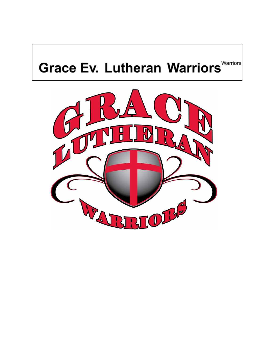# **Grace Ev. Lutheran Warriors** Warrion

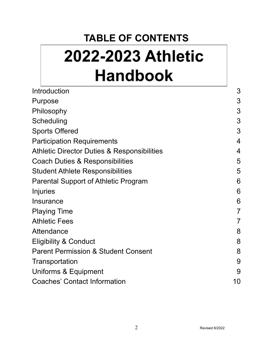## **TABLE OF CONTENTS**

# 2022-2023 Athletic **Handbook**

| Introduction                                           | 3              |
|--------------------------------------------------------|----------------|
| Purpose                                                | 3              |
| Philosophy                                             | 3              |
| Scheduling                                             | 3              |
| <b>Sports Offered</b>                                  | 3              |
| <b>Participation Requirements</b>                      | 4              |
| <b>Athletic Director Duties &amp; Responsibilities</b> | 4              |
| Coach Duties & Responsibilities                        | 5              |
| <b>Student Athlete Responsibilities</b>                | 5              |
| Parental Support of Athletic Program                   | 6              |
| <b>Injuries</b>                                        | 6              |
| <b>Insurance</b>                                       | 6              |
| <b>Playing Time</b>                                    | $\overline{7}$ |
| <b>Athletic Fees</b>                                   | $\overline{7}$ |
| Attendance                                             | 8              |
| <b>Eligibility &amp; Conduct</b>                       | 8              |
| <b>Parent Permission &amp; Student Consent</b>         | 8              |
| Transportation                                         | 9              |
| Uniforms & Equipment                                   | 9              |
| <b>Coaches' Contact Information</b>                    | 10             |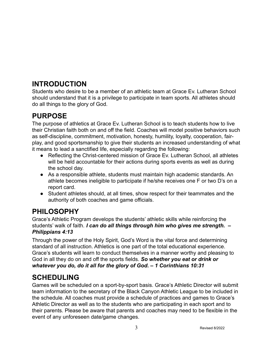## **INTRODUCTION**

Students who desire to be a member of an athletic team at Grace Ev. Lutheran School should understand that it is a privilege to participate in team sports. All athletes should do all things to the glory of God.

## **PURPOSE**

The purpose of athletics at Grace Ev. Lutheran School is to teach students how to live their Christian faith both on and off the field. Coaches will model positive behaviors such as self-discipline, commitment, motivation, honesty, humility, loyalty, cooperation, fairplay, and good sportsmanship to give their students an increased understanding of what it means to lead a sanctified life, especially regarding the following:

- Reflecting the Christ-centered mission of Grace Ev. Lutheran School, all athletes will be held accountable for their actions during sports events as well as during the school day.
- As a responsible athlete, students must maintain high academic standards. An athlete becomes ineligible to participate if he/she receives one F or two D's on a report card.
- Student athletes should, at all times, show respect for their teammates and the authority of both coaches and game officials.

## **PHILOSOPHY**

Grace's Athletic Program develops the students' athletic skills while reinforcing the students' walk of faith. *I can do all things through him who gives me strength. – Philippians 4:13*

Through the power of the Holy Spirit, God's Word is the vital force and determining standard of all instruction. Athletics is one part of the total educational experience. Grace's students will learn to conduct themselves in a manner worthy and pleasing to God in all they do on and off the sports fields. *So whether you eat or drink or whatever you do, do it all for the glory of God. – 1 Corinthians 10:31*

## **SCHEDULING**

Games will be scheduled on a sport-by-sport basis. Grace's Athletic Director will submit team information to the secretary of the Black Canyon Athletic League to be included in the schedule. All coaches must provide a schedule of practices and games to Grace's Athletic Director as well as to the students who are participating in each sport and to their parents. Please be aware that parents and coaches may need to be flexible in the event of any unforeseen date/game changes.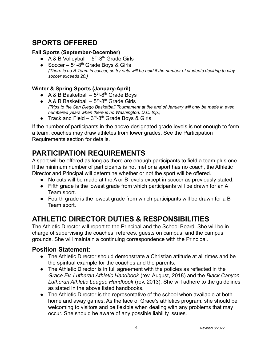## **SPORTS OFFERED**

#### **Fall Sports (September-December)**

- A & B Volleyball  $-5^{th}$ -8<sup>th</sup> Grade Girls
- Soccer  $-5$ <sup>th</sup>-8<sup>th</sup> Grade Boys & Girls (There is no B Team in soccer, so try outs will be held if the number of students desiring to play *soccer exceeds 20.)*

#### **Winter & Spring Sports (January-April)**

- A & B Basketball  $-5^{th}$ -8<sup>th</sup> Grade Boys
- A & B Basketball  $-5<sup>th</sup>-8<sup>th</sup>$  Grade Girls *(Trips to the San Diego Basketball Tournament at the end of January will only be made in even numbered years when there is no Washington, D.C. trip.)*
- Track and Field  $-3^{rd} 8^{th}$  Grade Boys & Girls

If the number of participants in the above-designated grade levels is not enough to form a team, coaches may draw athletes from lower grades. See the Participation Requirements section for details.

#### **PARTICIPATION REQUIREMENTS**

A sport will be offered as long as there are enough participants to field a team plus one. If the minimum number of participants is not met or a sport has no coach, the Athletic Director and Principal will determine whether or not the sport will be offered.

- No cuts will be made at the A or B levels except in soccer as previously stated.
- Fifth grade is the lowest grade from which participants will be drawn for an A Team sport.
- Fourth grade is the lowest grade from which participants will be drawn for a B Team sport.

## **ATHLETIC DIRECTOR DUTIES & RESPONSIBILITIES**

The Athletic Director will report to the Principal and the School Board. She will be in charge of supervising the coaches, referees, guests on campus, and the campus grounds. She will maintain a continuing correspondence with the Principal.

#### **Position Statement:**

- The Athletic Director should demonstrate a Christian attitude at all times and be the spiritual example for the coaches and the parents.
- The Athletic Director is in full agreement with the policies as reflected in the *Grace Ev. Lutheran Athletic Handbook* (rev. August, 2018) and the *Black Canyon Lutheran Athletic League Handbook* (rev. 2013). She will adhere to the guidelines as stated in the above listed handbooks.
- The Athletic Director is the representative of the school when available at both home and away games. As the face of Grace's athletics program, she should be welcoming to visitors and be flexible when dealing with any problems that may occur. She should be aware of any possible liability issues.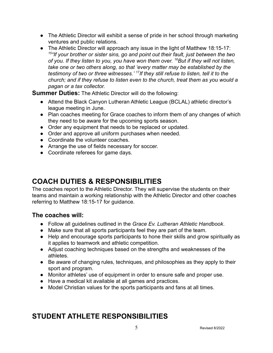- The Athletic Director will exhibit a sense of pride in her school through marketing ventures and public relations.
- The Athletic Director will approach any issue in the light of Matthew 18:15-17: *15 "If your brother or sister sins, go and point out their fault, just between the two of you. If they listen to you, you have won them over. <sup>16</sup>But if they will not listen, take one or two others along, so that 'every matter may be established by the testimony of two or three witnesses.' <sup>17</sup> If they still refuse to listen, tell it to the church; and if they refuse to listen even to the church, treat them as you would a pagan or a tax collector.*

**Summer Duties:** The Athletic Director will do the following:

- Attend the Black Canyon Lutheran Athletic League (BCLAL) athletic director's league meeting in June.
- Plan coaches meeting for Grace coaches to inform them of any changes of which they need to be aware for the upcoming sports season.
- Order any equipment that needs to be replaced or updated.
- Order and approve all uniform purchases when needed.
- Coordinate the volunteer coaches.
- Arrange the use of fields necessary for soccer.
- Coordinate referees for game days.

## **COACH DUTIES & RESPONSIBILITIES**

The coaches report to the Athletic Director. They will supervise the students on their teams and maintain a working relationship with the Athletic Director and other coaches referring to Matthew 18:15-17 for guidance.

#### **The coaches will:**

- Follow all guidelines outlined in the *Grace Ev. Lutheran Athletic Handbook*.
- Make sure that all sports participants feel they are part of the team.
- Help and encourage sports participants to hone their skills and grow spiritually as it applies to teamwork and athletic competition.
- Adjust coaching techniques based on the strengths and weaknesses of the athletes.
- Be aware of changing rules, techniques, and philosophies as they apply to their sport and program.
- Monitor athletes' use of equipment in order to ensure safe and proper use.
- Have a medical kit available at all games and practices.
- Model Christian values for the sports participants and fans at all times.

#### **STUDENT ATHLETE RESPONSIBILITIES**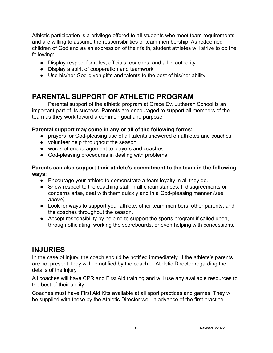Athletic participation is a privilege offered to all students who meet team requirements and are willing to assume the responsibilities of team membership. As redeemed children of God and as an expression of their faith, student athletes will strive to do the following:

- Display respect for rules, officials, coaches, and all in authority
- Display a spirit of cooperation and teamwork
- Use his/her God-given gifts and talents to the best of his/her ability

#### **PARENTAL SUPPORT OF ATHLETIC PROGRAM**

Parental support of the athletic program at Grace Ev. Lutheran School is an important part of its success. Parents are encouraged to support all members of the team as they work toward a common goal and purpose.

#### **Parental support may come in any or all of the following forms:**

- prayers for God-pleasing use of all talents showered on athletes and coaches
- volunteer help throughout the season
- words of encouragement to players and coaches
- God-pleasing procedures in dealing with problems

#### **Parents can also support their athlete's commitment to the team in the following ways:**

- Encourage your athlete to demonstrate a team loyalty in all they do.
- Show respect to the coaching staff in all circumstances. If disagreements or concerns arise, deal with them quickly and in a God-pleasing manner *(see above)*
- Look for ways to support your athlete, other team members, other parents, and the coaches throughout the season.
- Accept responsibility by helping to support the sports program if called upon, through officiating, working the scoreboards, or even helping with concessions.

#### **INJURIES**

In the case of injury, the coach should be notified immediately. If the athlete's parents are not present, they will be notified by the coach or Athletic Director regarding the details of the injury.

All coaches will have CPR and First Aid training and will use any available resources to the best of their ability.

Coaches must have First Aid Kits available at all sport practices and games. They will be supplied with these by the Athletic Director well in advance of the first practice.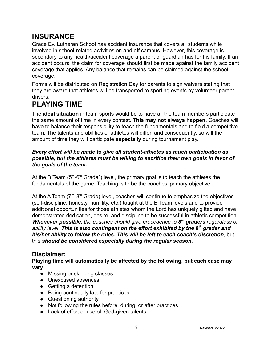## **INSURANCE**

Grace Ev. Lutheran School has accident insurance that covers all students while involved in school-related activities on and off campus. However, this coverage is secondary to any health/accident coverage a parent or guardian has for his family. If an accident occurs, the claim for coverage should first be made against the family accident coverage that applies. Any balance that remains can be claimed against the school coverage.

Forms will be distributed on Registration Day for parents to sign waivers stating that they are aware that athletes will be transported to sporting events by volunteer parent drivers.

## **PLAYING TIME**

The **ideal situation** in team sports would be to have all the team members participate the same amount of time in every contest. **This may not always happen.** Coaches will have to balance their responsibility to teach the fundamentals and to field a competitive team. The talents and abilities of athletes will differ, and consequently, so will the amount of time they will participate **especially** during tournament play.

#### *Every effort will be made to give all student-athletes as much participation as possible, but the athletes must be willing to sacrifice their own goals in favor of the goals of the team.*

At the B Team ( $5<sup>th</sup>$ -6<sup>th</sup> Grade\*) level, the primary goal is to teach the athletes the fundamentals of the game. Teaching is to be the coaches' primary objective.

At the A Team  $(7<sup>th</sup>-8<sup>th</sup>$  Grade) level, coaches will continue to emphasize the objectives (self-discipline, honesty, humility, etc.) taught at the B Team levels and to provide additional opportunities for those athletes whom the Lord has uniquely gifted and have demonstrated dedication, desire, and discipline to be successful in athletic competition. *Whenever possible, the coaches should give precedence to 8 th graders regardless of ability level. This is also contingent on the effort exhibited by the 8th grader and his/her ability to follow the rules. This will be left to each coach's discretion*, but this *should be considered especially during the regular season*.

#### **Disclaimer:**

**Playing time will automatically be affected by the following, but each case may vary:**

- Missing or skipping classes
- Unexcused absences
- Getting a detention
- Being continually late for practices
- Questioning authority
- Not following the rules before, during, or after practices
- Lack of effort or use of God-given talents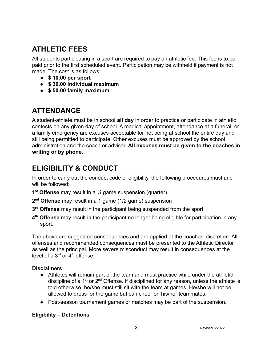## **ATHLETIC FEES**

All students participating in a sport are required to pay an athletic fee. This fee is to be paid prior to the first scheduled event. Participation may be withheld if payment is not made. The cost is as follows:

- **\$ 10.00 per sport**
- **\$ 30.00 individual maximum**
- **\$ 50.00 family maximum**

#### **ATTENDANCE**

A student-athlete must be in school **all day** in order to practice or participate in athletic contests on any given day of school. A medical appointment, attendance at a funeral, or a family emergency are excuses acceptable for not being at school the entire day and still being permitted to participate. Other excuses must be approved by the school administration and the coach or advisor. **All excuses must be given to the coaches in writing or by phone.**

#### **ELIGIBILITY & CONDUCT**

In order to carry out the conduct code of eligibility, the following procedures must and will be followed:

- **1 st Offense** may result in a ½ game suspension (quarter)
- **2 nd Offense** may result in a 1 game (1/2 game) suspension
- **3 rd Offense** may result in the participant being suspended from the sport
- **4 th Offense** may result in the participant no longer being eligible for participation in any sport.

The above are suggested consequences and are applied at the coaches' discretion. All offenses and recommended consequences must be presented to the Athletic Director as well as the principal. More severe misconduct may result in consequences at the level of a  $3<sup>rd</sup>$  or  $4<sup>th</sup>$  offense.

#### **Disclaimers:**

- Athletes will remain part of the team and must practice while under the athletic discipline of a  $1<sup>st</sup>$  or  $2<sup>nd</sup>$  Offense. If disciplined for any reason, unless the athlete is told otherwise, he/she must still sit with the team at games. He/she will not be allowed to dress for the game but can cheer on his/her teammates.
- Post-season tournament games or matches may be part of the suspension.

#### **Eligibility – Detentions**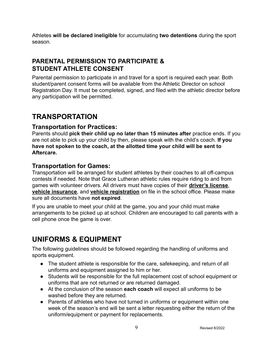Athletes **will be declared ineligible** for accumulating **two detentions** during the sport season.

#### **PARENTAL PERMISSION TO PARTICIPATE & STUDENT ATHLETE CONSENT**

Parental permission to participate in and travel for a sport is required each year. Both student/parent consent forms will be available from the Athletic Director on school Registration Day. It must be completed, signed, and filed with the athletic director before any participation will be permitted.

### **TRANSPORTATION**

#### **Transportation for Practices:**

Parents should **pick their child up no later than 15 minutes after** practice ends. If you are not able to pick up your child by then, please speak with the child's coach. **If you have not spoken to the coach, at the allotted time your child will be sent to Aftercare.**

#### **Transportation for Games:**

Transportation will be arranged for student athletes by their coaches to all off-campus contests if needed. Note that Grace Lutheran athletic rules require riding to and from games with volunteer drivers. All drivers must have copies of their **driver's license**, **vehicle insurance**, and **vehicle registration** on file in the school office. Please make sure all documents have **not expired**.

If you are unable to meet your child at the game, you and your child must make arrangements to be picked up at school. Children are encouraged to call parents with a cell phone once the game is over.

#### **UNIFORMS & EQUIPMENT**

The following guidelines should be followed regarding the handling of uniforms and sports equipment.

- The student athlete is responsible for the care, safekeeping, and return of all uniforms and equipment assigned to him or her.
- Students will be responsible for the full replacement cost of school equipment or uniforms that are not returned or are returned damaged.
- At the conclusion of the season **each coach** will expect all uniforms to be washed before they are returned.
- Parents of athletes who have not turned in uniforms or equipment within one week of the season's end will be sent a letter requesting either the return of the uniform/equipment or payment for replacements.